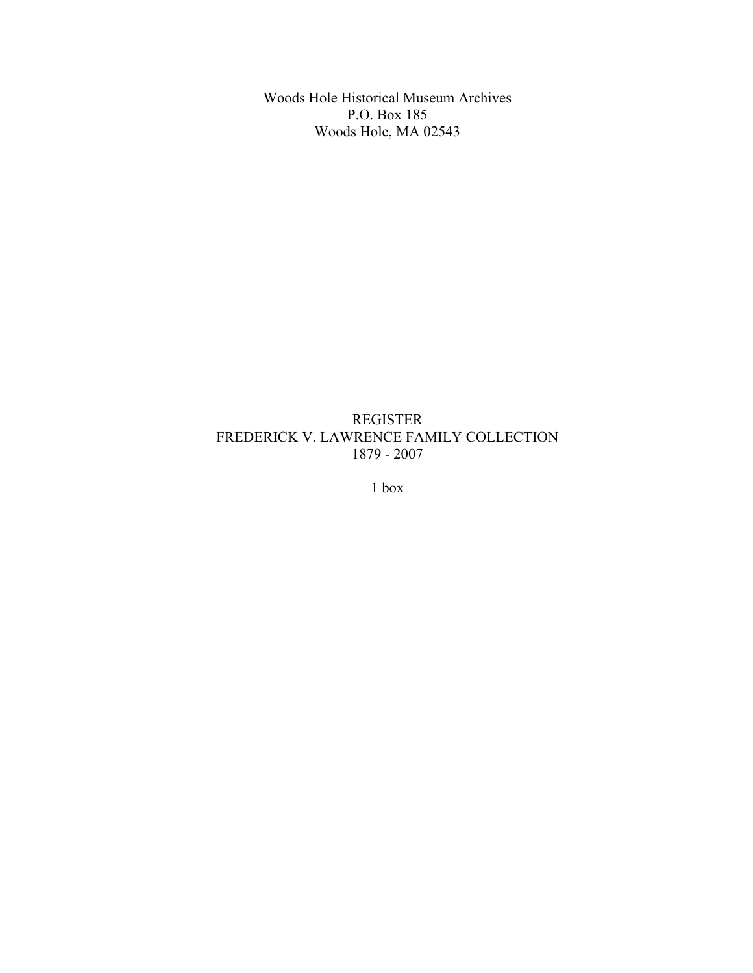Woods Hole Historical Museum Archives P.O. Box 185 Woods Hole, MA 02543

## REGISTER FREDERICK V. LAWRENCE FAMILY COLLECTION 1879 - 2007

1 box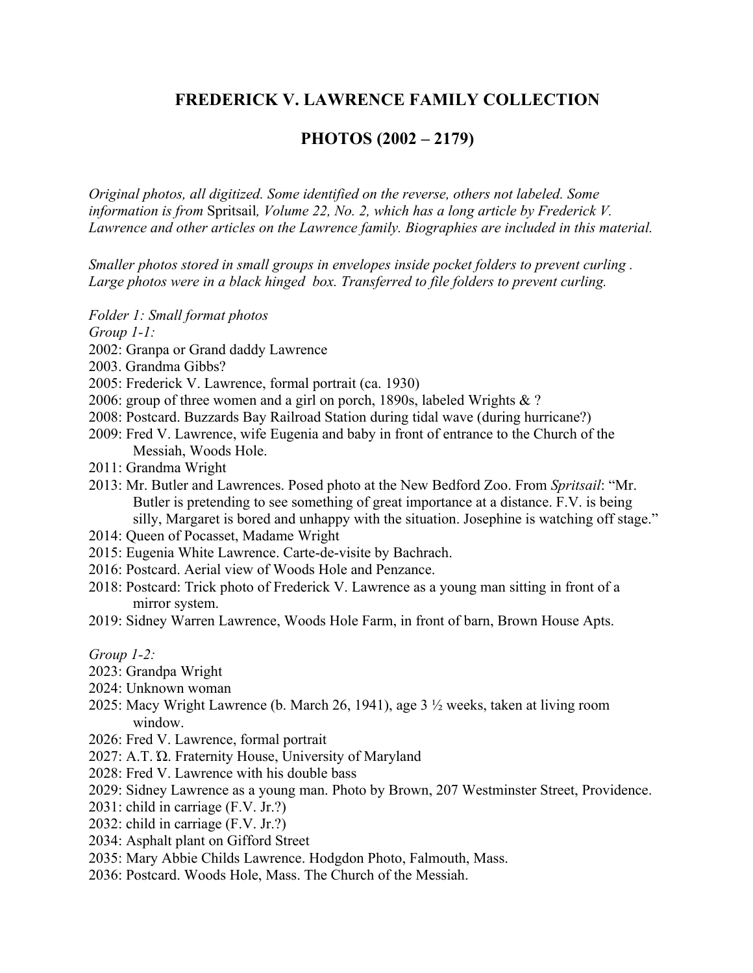# **FREDERICK V. LAWRENCE FAMILY COLLECTION**

## **PHOTOS (2002 – 2179)**

*Original photos, all digitized. Some identified on the reverse, others not labeled. Some information is from* Spritsail*, Volume 22, No. 2, which has a long article by Frederick V. Lawrence and other articles on the Lawrence family. Biographies are included in this material.*

*Smaller photos stored in small groups in envelopes inside pocket folders to prevent curling . Large photos were in a black hinged box. Transferred to file folders to prevent curling.*

*Folder 1: Small format photos*

*Group 1-1:*

- 2002: Granpa or Grand daddy Lawrence
- 2003. Grandma Gibbs?
- 2005: Frederick V. Lawrence, formal portrait (ca. 1930)
- 2006: group of three women and a girl on porch, 1890s, labeled Wrights & ?
- 2008: Postcard. Buzzards Bay Railroad Station during tidal wave (during hurricane?)
- 2009: Fred V. Lawrence, wife Eugenia and baby in front of entrance to the Church of the Messiah, Woods Hole.
- 2011: Grandma Wright
- 2013: Mr. Butler and Lawrences. Posed photo at the New Bedford Zoo. From *Spritsail*: "Mr. Butler is pretending to see something of great importance at a distance. F.V. is being silly, Margaret is bored and unhappy with the situation. Josephine is watching off stage."
- 2014: Queen of Pocasset, Madame Wright
- 2015: Eugenia White Lawrence. Carte-de-visite by Bachrach.
- 2016: Postcard. Aerial view of Woods Hole and Penzance.
- 2018: Postcard: Trick photo of Frederick V. Lawrence as a young man sitting in front of a mirror system.
- 2019: Sidney Warren Lawrence, Woods Hole Farm, in front of barn, Brown House Apts.

*Group 1-2:*

- 2023: Grandpa Wright
- 2024: Unknown woman
- 2025: Macy Wright Lawrence (b. March 26, 1941), age 3 ½ weeks, taken at living room window.
- 2026: Fred V. Lawrence, formal portrait
- 2027: A.T. Ώ. Fraternity House, University of Maryland
- 2028: Fred V. Lawrence with his double bass
- 2029: Sidney Lawrence as a young man. Photo by Brown, 207 Westminster Street, Providence.
- 2031: child in carriage (F.V. Jr.?)
- 2032: child in carriage (F.V. Jr.?)
- 2034: Asphalt plant on Gifford Street
- 2035: Mary Abbie Childs Lawrence. Hodgdon Photo, Falmouth, Mass.
- 2036: Postcard. Woods Hole, Mass. The Church of the Messiah.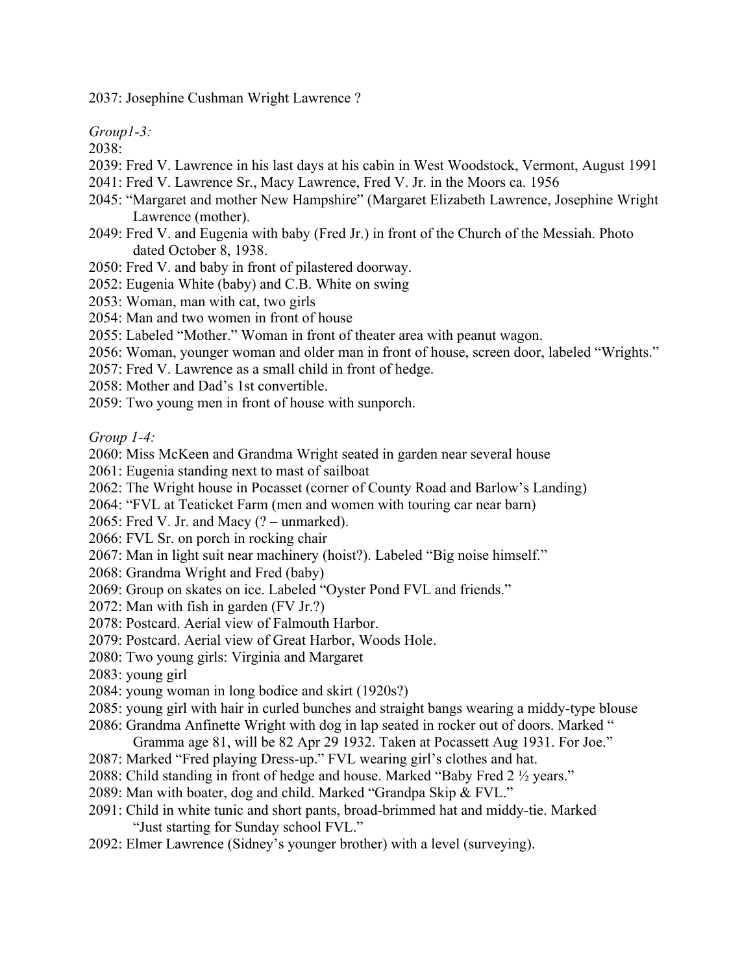2037: Josephine Cushman Wright Lawrence ?

*Group1-3:*

2038:

- 2039: Fred V. Lawrence in his last days at his cabin in West Woodstock, Vermont, August 1991
- 2041: Fred V. Lawrence Sr., Macy Lawrence, Fred V. Jr. in the Moors ca. 1956
- 2045: "Margaret and mother New Hampshire" (Margaret Elizabeth Lawrence, Josephine Wright Lawrence (mother).
- 2049: Fred V. and Eugenia with baby (Fred Jr.) in front of the Church of the Messiah. Photo dated October 8, 1938.
- 2050: Fred V. and baby in front of pilastered doorway.
- 2052: Eugenia White (baby) and C.B. White on swing
- 2053: Woman, man with cat, two girls
- 2054: Man and two women in front of house
- 2055: Labeled "Mother." Woman in front of theater area with peanut wagon.
- 2056: Woman, younger woman and older man in front of house, screen door, labeled "Wrights."
- 2057: Fred V. Lawrence as a small child in front of hedge.
- 2058: Mother and Dad's 1st convertible.
- 2059: Two young men in front of house with sunporch.

*Group 1-4:*

- 2060: Miss McKeen and Grandma Wright seated in garden near several house
- 2061: Eugenia standing next to mast of sailboat
- 2062: The Wright house in Pocasset (corner of County Road and Barlow's Landing)
- 2064: "FVL at Teaticket Farm (men and women with touring car near barn)
- 2065: Fred V. Jr. and Macy (? unmarked).
- 2066: FVL Sr. on porch in rocking chair
- 2067: Man in light suit near machinery (hoist?). Labeled "Big noise himself."
- 2068: Grandma Wright and Fred (baby)
- 2069: Group on skates on ice. Labeled "Oyster Pond FVL and friends."
- 2072: Man with fish in garden (FV Jr.?)
- 2078: Postcard. Aerial view of Falmouth Harbor.
- 2079: Postcard. Aerial view of Great Harbor, Woods Hole.
- 2080: Two young girls: Virginia and Margaret
- 2083: young girl
- 2084: young woman in long bodice and skirt (1920s?)
- 2085: young girl with hair in curled bunches and straight bangs wearing a middy-type blouse
- 2086: Grandma Anfinette Wright with dog in lap seated in rocker out of doors. Marked " Gramma age 81, will be 82 Apr 29 1932. Taken at Pocassett Aug 1931. For Joe."
- 2087: Marked "Fred playing Dress-up." FVL wearing girl's clothes and hat.
- 2088: Child standing in front of hedge and house. Marked "Baby Fred 2 ½ years."
- 2089: Man with boater, dog and child. Marked "Grandpa Skip & FVL."
- 2091: Child in white tunic and short pants, broad-brimmed hat and middy-tie. Marked "Just starting for Sunday school FVL."
- 2092: Elmer Lawrence (Sidney's younger brother) with a level (surveying).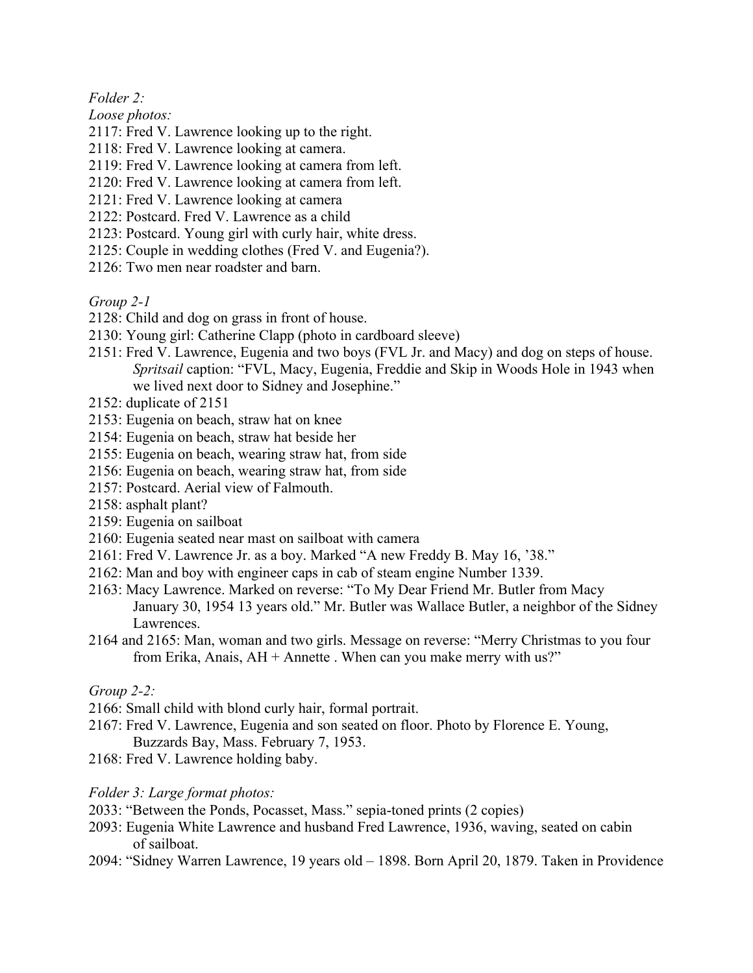*Folder 2:*

*Loose photos:*

- 2117: Fred V. Lawrence looking up to the right.
- 2118: Fred V. Lawrence looking at camera.
- 2119: Fred V. Lawrence looking at camera from left.
- 2120: Fred V. Lawrence looking at camera from left.
- 2121: Fred V. Lawrence looking at camera
- 2122: Postcard. Fred V. Lawrence as a child
- 2123: Postcard. Young girl with curly hair, white dress.
- 2125: Couple in wedding clothes (Fred V. and Eugenia?).
- 2126: Two men near roadster and barn.

*Group 2-1*

- 2128: Child and dog on grass in front of house.
- 2130: Young girl: Catherine Clapp (photo in cardboard sleeve)
- 2151: Fred V. Lawrence, Eugenia and two boys (FVL Jr. and Macy) and dog on steps of house. *Spritsail* caption: "FVL, Macy, Eugenia, Freddie and Skip in Woods Hole in 1943 when we lived next door to Sidney and Josephine."
- 2152: duplicate of 2151
- 2153: Eugenia on beach, straw hat on knee
- 2154: Eugenia on beach, straw hat beside her
- 2155: Eugenia on beach, wearing straw hat, from side
- 2156: Eugenia on beach, wearing straw hat, from side
- 2157: Postcard. Aerial view of Falmouth.
- 2158: asphalt plant?
- 2159: Eugenia on sailboat
- 2160: Eugenia seated near mast on sailboat with camera
- 2161: Fred V. Lawrence Jr. as a boy. Marked "A new Freddy B. May 16, '38."
- 2162: Man and boy with engineer caps in cab of steam engine Number 1339.
- 2163: Macy Lawrence. Marked on reverse: "To My Dear Friend Mr. Butler from Macy January 30, 1954 13 years old." Mr. Butler was Wallace Butler, a neighbor of the Sidney Lawrences.
- 2164 and 2165: Man, woman and two girls. Message on reverse: "Merry Christmas to you four from Erika, Anais,  $AH +$  Annette . When can you make merry with us?"

### *Group 2-2:*

- 2166: Small child with blond curly hair, formal portrait.
- 2167: Fred V. Lawrence, Eugenia and son seated on floor. Photo by Florence E. Young, Buzzards Bay, Mass. February 7, 1953.
- 2168: Fred V. Lawrence holding baby.

*Folder 3: Large format photos:*

- 2033: "Between the Ponds, Pocasset, Mass." sepia-toned prints (2 copies)
- 2093: Eugenia White Lawrence and husband Fred Lawrence, 1936, waving, seated on cabin of sailboat.
- 2094: "Sidney Warren Lawrence, 19 years old 1898. Born April 20, 1879. Taken in Providence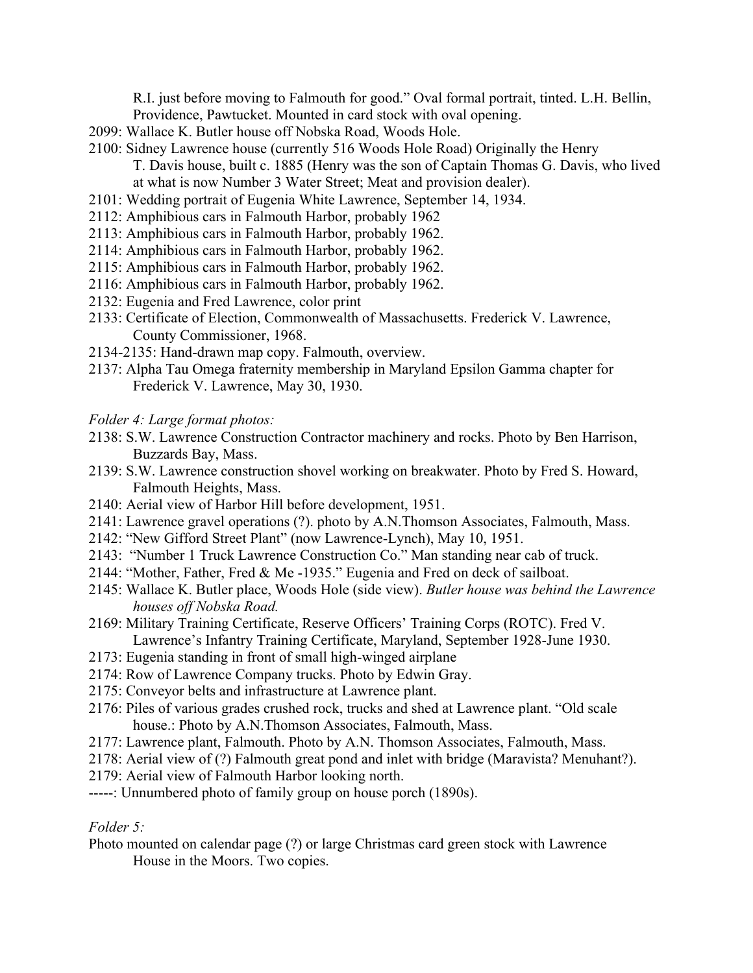R.I. just before moving to Falmouth for good." Oval formal portrait, tinted. L.H. Bellin, Providence, Pawtucket. Mounted in card stock with oval opening.

- 2099: Wallace K. Butler house off Nobska Road, Woods Hole.
- 2100: Sidney Lawrence house (currently 516 Woods Hole Road) Originally the Henry T. Davis house, built c. 1885 (Henry was the son of Captain Thomas G. Davis, who lived at what is now Number 3 Water Street; Meat and provision dealer).
- 2101: Wedding portrait of Eugenia White Lawrence, September 14, 1934.
- 2112: Amphibious cars in Falmouth Harbor, probably 1962
- 2113: Amphibious cars in Falmouth Harbor, probably 1962.
- 2114: Amphibious cars in Falmouth Harbor, probably 1962.
- 2115: Amphibious cars in Falmouth Harbor, probably 1962.
- 2116: Amphibious cars in Falmouth Harbor, probably 1962.
- 2132: Eugenia and Fred Lawrence, color print
- 2133: Certificate of Election, Commonwealth of Massachusetts. Frederick V. Lawrence, County Commissioner, 1968.
- 2134-2135: Hand-drawn map copy. Falmouth, overview.
- 2137: Alpha Tau Omega fraternity membership in Maryland Epsilon Gamma chapter for Frederick V. Lawrence, May 30, 1930.

*Folder 4: Large format photos:*

- 2138: S.W. Lawrence Construction Contractor machinery and rocks. Photo by Ben Harrison, Buzzards Bay, Mass.
- 2139: S.W. Lawrence construction shovel working on breakwater. Photo by Fred S. Howard, Falmouth Heights, Mass.
- 2140: Aerial view of Harbor Hill before development, 1951.
- 2141: Lawrence gravel operations (?). photo by A.N.Thomson Associates, Falmouth, Mass.
- 2142: "New Gifford Street Plant" (now Lawrence-Lynch), May 10, 1951.
- 2143: "Number 1 Truck Lawrence Construction Co." Man standing near cab of truck.
- 2144: "Mother, Father, Fred & Me -1935." Eugenia and Fred on deck of sailboat.
- 2145: Wallace K. Butler place, Woods Hole (side view). *Butler house was behind the Lawrence houses off Nobska Road.*
- 2169: Military Training Certificate, Reserve Officers' Training Corps (ROTC). Fred V. Lawrence's Infantry Training Certificate, Maryland, September 1928-June 1930.
- 2173: Eugenia standing in front of small high-winged airplane
- 2174: Row of Lawrence Company trucks. Photo by Edwin Gray.
- 2175: Conveyor belts and infrastructure at Lawrence plant.
- 2176: Piles of various grades crushed rock, trucks and shed at Lawrence plant. "Old scale house.: Photo by A.N.Thomson Associates, Falmouth, Mass.
- 2177: Lawrence plant, Falmouth. Photo by A.N. Thomson Associates, Falmouth, Mass.
- 2178: Aerial view of (?) Falmouth great pond and inlet with bridge (Maravista? Menuhant?).
- 2179: Aerial view of Falmouth Harbor looking north.

-----: Unnumbered photo of family group on house porch (1890s).

#### *Folder 5:*

Photo mounted on calendar page (?) or large Christmas card green stock with Lawrence House in the Moors. Two copies.